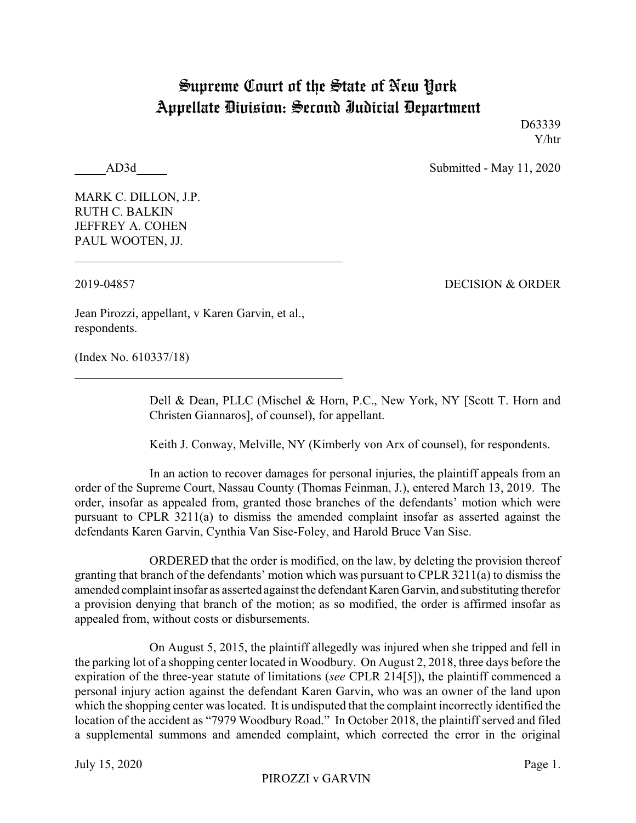## Supreme Court of the State of New York Appellate Division: Second Judicial Department

D63339 Y/htr

AD3d Submitted - May 11, 2020

MARK C. DILLON, J.P. RUTH C. BALKIN JEFFREY A. COHEN PAUL WOOTEN, JJ.

2019-04857 DECISION & ORDER

Jean Pirozzi, appellant, v Karen Garvin, et al., respondents.

(Index No. 610337/18)

Dell & Dean, PLLC (Mischel & Horn, P.C., New York, NY [Scott T. Horn and Christen Giannaros], of counsel), for appellant.

Keith J. Conway, Melville, NY (Kimberly von Arx of counsel), for respondents.

In an action to recover damages for personal injuries, the plaintiff appeals from an order of the Supreme Court, Nassau County (Thomas Feinman, J.), entered March 13, 2019. The order, insofar as appealed from, granted those branches of the defendants' motion which were pursuant to CPLR 3211(a) to dismiss the amended complaint insofar as asserted against the defendants Karen Garvin, Cynthia Van Sise-Foley, and Harold Bruce Van Sise.

ORDERED that the order is modified, on the law, by deleting the provision thereof granting that branch of the defendants' motion which was pursuant to CPLR 3211(a) to dismiss the amended complaint insofar as asserted against the defendant Karen Garvin, and substituting therefor a provision denying that branch of the motion; as so modified, the order is affirmed insofar as appealed from, without costs or disbursements.

On August 5, 2015, the plaintiff allegedly was injured when she tripped and fell in the parking lot of a shopping center located in Woodbury. On August 2, 2018, three days before the expiration of the three-year statute of limitations (*see* CPLR 214[5]), the plaintiff commenced a personal injury action against the defendant Karen Garvin, who was an owner of the land upon which the shopping center was located. It is undisputed that the complaint incorrectly identified the location of the accident as "7979 Woodbury Road." In October 2018, the plaintiff served and filed a supplemental summons and amended complaint, which corrected the error in the original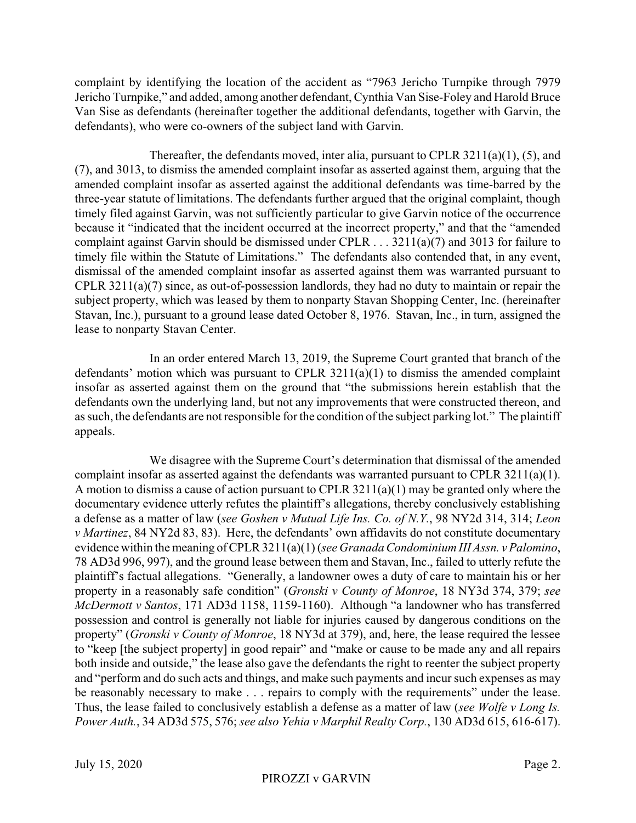complaint by identifying the location of the accident as "7963 Jericho Turnpike through 7979 Jericho Turnpike," and added, among another defendant, Cynthia Van Sise-Foley and Harold Bruce Van Sise as defendants (hereinafter together the additional defendants, together with Garvin, the defendants), who were co-owners of the subject land with Garvin.

Thereafter, the defendants moved, inter alia, pursuant to CPLR 3211(a)(1), (5), and (7), and 3013, to dismiss the amended complaint insofar as asserted against them, arguing that the amended complaint insofar as asserted against the additional defendants was time-barred by the three-year statute of limitations. The defendants further argued that the original complaint, though timely filed against Garvin, was not sufficiently particular to give Garvin notice of the occurrence because it "indicated that the incident occurred at the incorrect property," and that the "amended complaint against Garvin should be dismissed under CPLR . . . 3211(a)(7) and 3013 for failure to timely file within the Statute of Limitations." The defendants also contended that, in any event, dismissal of the amended complaint insofar as asserted against them was warranted pursuant to CPLR 3211(a)(7) since, as out-of-possession landlords, they had no duty to maintain or repair the subject property, which was leased by them to nonparty Stavan Shopping Center, Inc. (hereinafter Stavan, Inc.), pursuant to a ground lease dated October 8, 1976. Stavan, Inc., in turn, assigned the lease to nonparty Stavan Center.

In an order entered March 13, 2019, the Supreme Court granted that branch of the defendants' motion which was pursuant to CPLR  $3211(a)(1)$  to dismiss the amended complaint insofar as asserted against them on the ground that "the submissions herein establish that the defendants own the underlying land, but not any improvements that were constructed thereon, and as such, the defendants are not responsible for the condition of the subject parking lot." The plaintiff appeals.

We disagree with the Supreme Court's determination that dismissal of the amended complaint insofar as asserted against the defendants was warranted pursuant to CPLR 3211(a)(1). A motion to dismiss a cause of action pursuant to CPLR 3211(a)(1) may be granted only where the documentary evidence utterly refutes the plaintiff's allegations, thereby conclusively establishing a defense as a matter of law (*see Goshen v Mutual Life Ins. Co. of N.Y.*, 98 NY2d 314, 314; *Leon v Martinez*, 84 NY2d 83, 83). Here, the defendants' own affidavits do not constitute documentary evidence within the meaning of CPLR 3211(a)(1) (*see Granada Condominium III Assn. v Palomino*, 78 AD3d 996, 997), and the ground lease between them and Stavan, Inc., failed to utterly refute the plaintiff's factual allegations. "Generally, a landowner owes a duty of care to maintain his or her property in a reasonably safe condition" (*Gronski v County of Monroe*, 18 NY3d 374, 379; *see McDermott v Santos*, 171 AD3d 1158, 1159-1160). Although "a landowner who has transferred possession and control is generally not liable for injuries caused by dangerous conditions on the property" (*Gronski v County of Monroe*, 18 NY3d at 379), and, here, the lease required the lessee to "keep [the subject property] in good repair" and "make or cause to be made any and all repairs both inside and outside," the lease also gave the defendants the right to reenter the subject property and "perform and do such acts and things, and make such payments and incur such expenses as may be reasonably necessary to make . . . repairs to comply with the requirements" under the lease. Thus, the lease failed to conclusively establish a defense as a matter of law (*see Wolfe v Long Is. Power Auth.*, 34 AD3d 575, 576; *see also Yehia v Marphil Realty Corp.*, 130 AD3d 615, 616-617).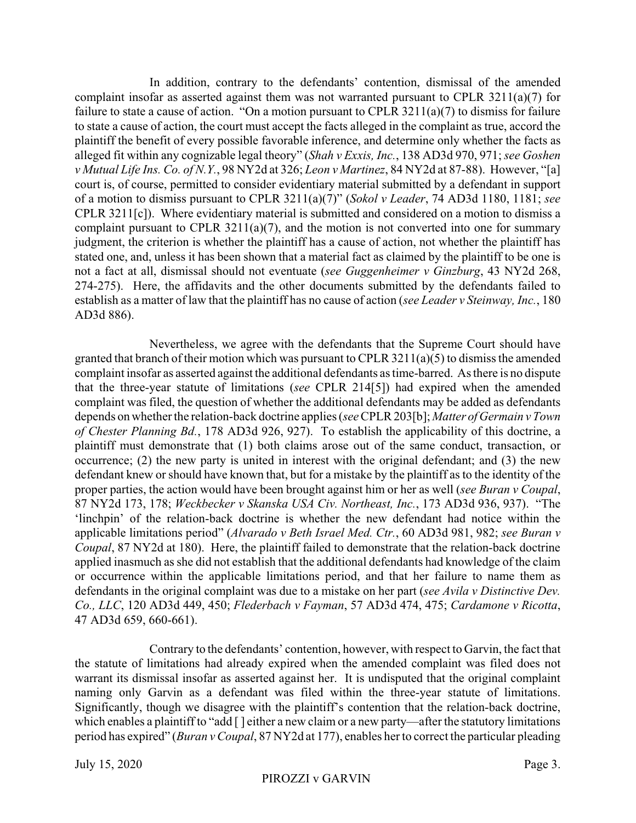In addition, contrary to the defendants' contention, dismissal of the amended complaint insofar as asserted against them was not warranted pursuant to CPLR 3211(a)(7) for failure to state a cause of action. "On a motion pursuant to CPLR 3211(a)(7) to dismiss for failure to state a cause of action, the court must accept the facts alleged in the complaint as true, accord the plaintiff the benefit of every possible favorable inference, and determine only whether the facts as alleged fit within any cognizable legal theory" (*Shah v Exxis, Inc.*, 138 AD3d 970, 971; *see Goshen v Mutual Life Ins. Co. of N.Y.*, 98 NY2d at 326; *Leon v Martinez*, 84 NY2d at 87-88). However, "[a] court is, of course, permitted to consider evidentiary material submitted by a defendant in support of a motion to dismiss pursuant to CPLR 3211(a)(7)" (*Sokol v Leader*, 74 AD3d 1180, 1181; *see* CPLR 3211[c]). Where evidentiary material is submitted and considered on a motion to dismiss a complaint pursuant to CPLR 3211(a)(7), and the motion is not converted into one for summary judgment, the criterion is whether the plaintiff has a cause of action, not whether the plaintiff has stated one, and, unless it has been shown that a material fact as claimed by the plaintiff to be one is not a fact at all, dismissal should not eventuate (*see Guggenheimer v Ginzburg*, 43 NY2d 268, 274-275). Here, the affidavits and the other documents submitted by the defendants failed to establish as a matter of law that the plaintiff has no cause of action (*see Leader v Steinway, Inc.*, 180 AD3d 886).

Nevertheless, we agree with the defendants that the Supreme Court should have granted that branch of their motion which was pursuant to CPLR 3211(a)(5) to dismiss the amended complaint insofar as asserted against the additional defendants as time-barred. As there is no dispute that the three-year statute of limitations (*see* CPLR 214[5]) had expired when the amended complaint was filed, the question of whether the additional defendants may be added as defendants depends on whether the relation-back doctrine applies (*see*CPLR 203[b]; *Matter of Germain v Town of Chester Planning Bd.*, 178 AD3d 926, 927). To establish the applicability of this doctrine, a plaintiff must demonstrate that (1) both claims arose out of the same conduct, transaction, or occurrence; (2) the new party is united in interest with the original defendant; and (3) the new defendant knew or should have known that, but for a mistake by the plaintiff as to the identity of the proper parties, the action would have been brought against him or her as well (*see Buran v Coupal*, 87 NY2d 173, 178; *Weckbecker v Skanska USA Civ. Northeast, Inc.*, 173 AD3d 936, 937). "The 'linchpin' of the relation-back doctrine is whether the new defendant had notice within the applicable limitations period" (*Alvarado v Beth Israel Med. Ctr.*, 60 AD3d 981, 982; *see Buran v Coupal*, 87 NY2d at 180). Here, the plaintiff failed to demonstrate that the relation-back doctrine applied inasmuch as she did not establish that the additional defendants had knowledge of the claim or occurrence within the applicable limitations period, and that her failure to name them as defendants in the original complaint was due to a mistake on her part (*see Avila v Distinctive Dev. Co., LLC*, 120 AD3d 449, 450; *Flederbach v Fayman*, 57 AD3d 474, 475; *Cardamone v Ricotta*, 47 AD3d 659, 660-661).

Contrary to the defendants' contention, however, with respect to Garvin, the fact that the statute of limitations had already expired when the amended complaint was filed does not warrant its dismissal insofar as asserted against her. It is undisputed that the original complaint naming only Garvin as a defendant was filed within the three-year statute of limitations. Significantly, though we disagree with the plaintiff's contention that the relation-back doctrine, which enables a plaintiff to "add [] either a new claim or a new party—after the statutory limitations period has expired" (*Buran v Coupal*, 87 NY2d at 177), enables her to correct the particular pleading